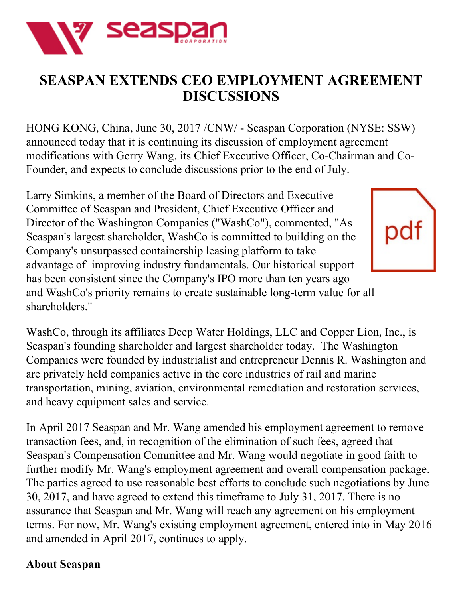

## **SEASPAN EXTENDS CEO EMPLOYMENT AGREEMENT DISCUSSIONS**

HONG KONG, China, June 30, 2017 /CNW/ - Seaspan Corporation (NYSE: SSW) announced today that it is continuing its discussion of employment agreement modifications with Gerry Wang, its Chief Executive Officer, Co-Chairman and Co-Founder, and expects to conclude discussions prior to the end of July.

Larry Simkins, a member of the Board of Directors and Executive Committee of Seaspan and President, Chief Executive Officer and Director of the Washington Companies ("WashCo"), commented, "As Seaspan's largest shareholder, WashCo is committed to building on the Company's unsurpassed containership leasing platform to take advantage of improving industry fundamentals. Our historical support has been consistent since the Company's IPO more than ten years ago and WashCo's priority remains to create sustainable long-term value for all shareholders."



WashCo, through its affiliates Deep Water Holdings, LLC and Copper Lion, Inc., is Seaspan's founding shareholder and largest shareholder today. The Washington Companies were founded by industrialist and entrepreneur Dennis R. Washington and are privately held companies active in the core industries of rail and marine transportation, mining, aviation, environmental remediation and restoration services, and heavy equipment sales and service.

In April 2017 Seaspan and Mr. Wang amended his employment agreement to remove transaction fees, and, in recognition of the elimination of such fees, agreed that Seaspan's Compensation Committee and Mr. Wang would negotiate in good faith to further modify Mr. Wang's employment agreement and overall compensation package. The parties agreed to use reasonable best efforts to conclude such negotiations by June 30, 2017, and have agreed to extend this timeframe to July 31, 2017. There is no assurance that Seaspan and Mr. Wang will reach any agreement on his employment terms. For now, Mr. Wang's existing employment agreement, entered into in May 2016 and amended in April 2017, continues to apply.

## **About Seaspan**